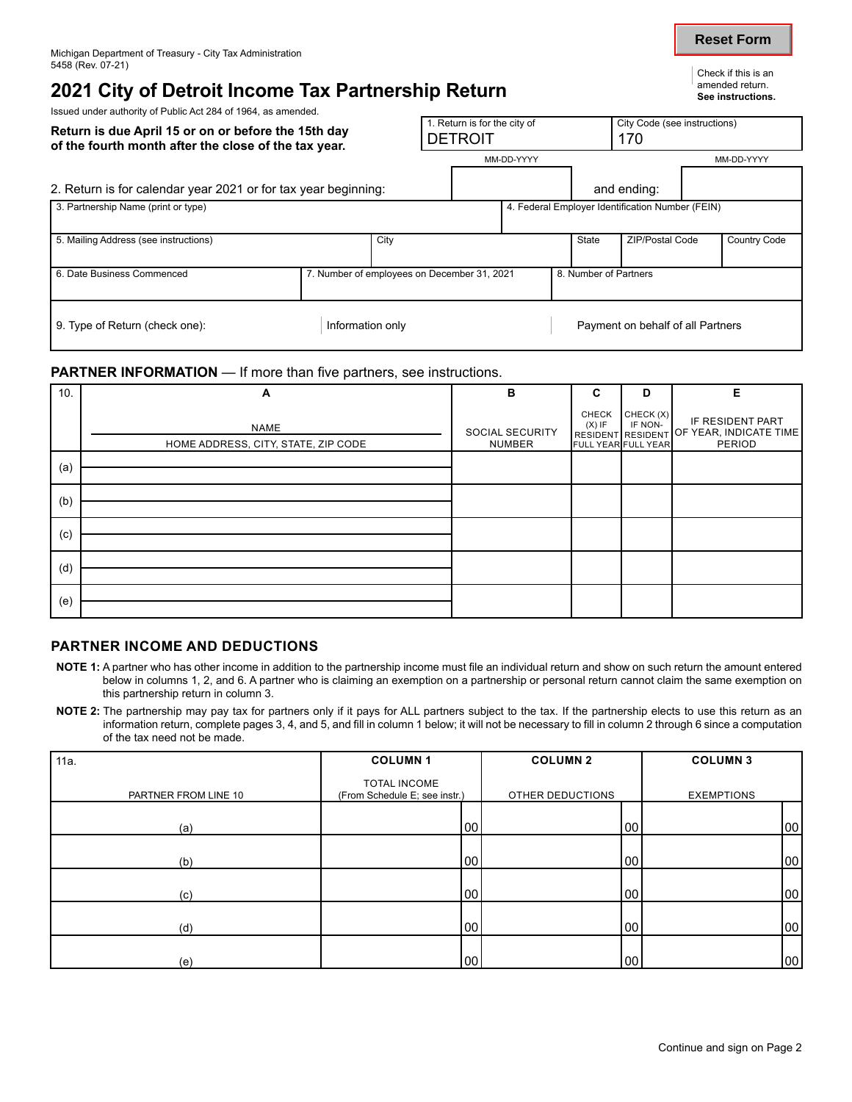## **2021 City of Detroit Income Tax Partnership Return See instructions.**

Issued under authority of Public Act 284 of 1964, as amended.

| Return is due April 15 or on or before the 15th day<br>of the fourth month after the close of the tax year. |      | 1. Return is for the city of<br><b>DETROIT</b> |                                                  |       | City Code (see instructions)<br>170 |                    |
|-------------------------------------------------------------------------------------------------------------|------|------------------------------------------------|--------------------------------------------------|-------|-------------------------------------|--------------------|
|                                                                                                             |      |                                                | MM-DD-YYYY                                       |       |                                     | MM-DD-YYYY         |
| 2. Return is for calendar year 2021 or for tax year beginning:                                              |      |                                                |                                                  |       | and ending:                         |                    |
| 3. Partnership Name (print or type)                                                                         |      |                                                | 4. Federal Employer Identification Number (FEIN) |       |                                     |                    |
| 5. Mailing Address (see instructions)                                                                       | City |                                                |                                                  | State | <b>ZIP/Postal Code</b>              | <b>Country Cod</b> |

| 5. Mailing Address (see instructions) |  | City                                        |  | State                 | <b>ZIP/Postal Code</b> | <b>Country Code</b> |
|---------------------------------------|--|---------------------------------------------|--|-----------------------|------------------------|---------------------|
|                                       |  |                                             |  |                       |                        |                     |
| 16. Date Business Commenced           |  | 7. Number of employees on December 31, 2021 |  | 8. Number of Partners |                        |                     |

9. Type of Return (check one): Information only **Payment on behalf of all Partners** 

#### **PARTNER INFORMATION** — If more than five partners, see instructions.

| 10. | A                                                  | B                                | C                 | D                                           | Е                                                                      |
|-----|----------------------------------------------------|----------------------------------|-------------------|---------------------------------------------|------------------------------------------------------------------------|
|     | <b>NAME</b><br>HOME ADDRESS, CITY, STATE, ZIP CODE | SOCIAL SECURITY<br><b>NUMBER</b> | CHECK<br>$(X)$ IF | CHECK (X)<br>IF NON-<br>FULL YEAR FULL YEAR | IF RESIDENT PART<br>RESIDENT RESIDENT OF YEAR, INDICATE TIME<br>PERIOD |
| (a) |                                                    |                                  |                   |                                             |                                                                        |
| (b) |                                                    |                                  |                   |                                             |                                                                        |
| (c) |                                                    |                                  |                   |                                             |                                                                        |
| (d) |                                                    |                                  |                   |                                             |                                                                        |
| (e) |                                                    |                                  |                   |                                             |                                                                        |

#### **PARTNER INCOME AND DEDUCTIONS**

- **NOTE 1:** A partner who has other income in addition to the partnership income must file an individual return and show on such return the amount entered below in columns 1, 2, and 6. A partner who is claiming an exemption on a partnership or personal return cannot claim the same exemption on this partnership return in column 3.
- **NOTE 2:** The partnership may pay tax for partners only if it pays for ALL partners subject to the tax. If the partnership elects to use this return as an information return, complete pages 3, 4, and 5, and fill in column 1 below; it will not be necessary to fill in column 2 through 6 since a computation of the tax need not be made.

| 11a.                 | <b>COLUMN1</b>                                | <b>COLUMN 2</b>  |    | <b>COLUMN3</b>    |    |
|----------------------|-----------------------------------------------|------------------|----|-------------------|----|
| PARTNER FROM LINE 10 | TOTAL INCOME<br>(From Schedule E; see instr.) | OTHER DEDUCTIONS |    | <b>EXEMPTIONS</b> |    |
| (a)                  | 00                                            |                  | 00 |                   | 00 |
| (b)                  | 00                                            |                  | 00 |                   | 00 |
| (c)                  | 00                                            |                  | 00 |                   | 00 |
| (d)                  | 00                                            |                  | 00 |                   | 00 |
| (e)                  | 00                                            |                  | 00 |                   | 00 |

**Reset Form**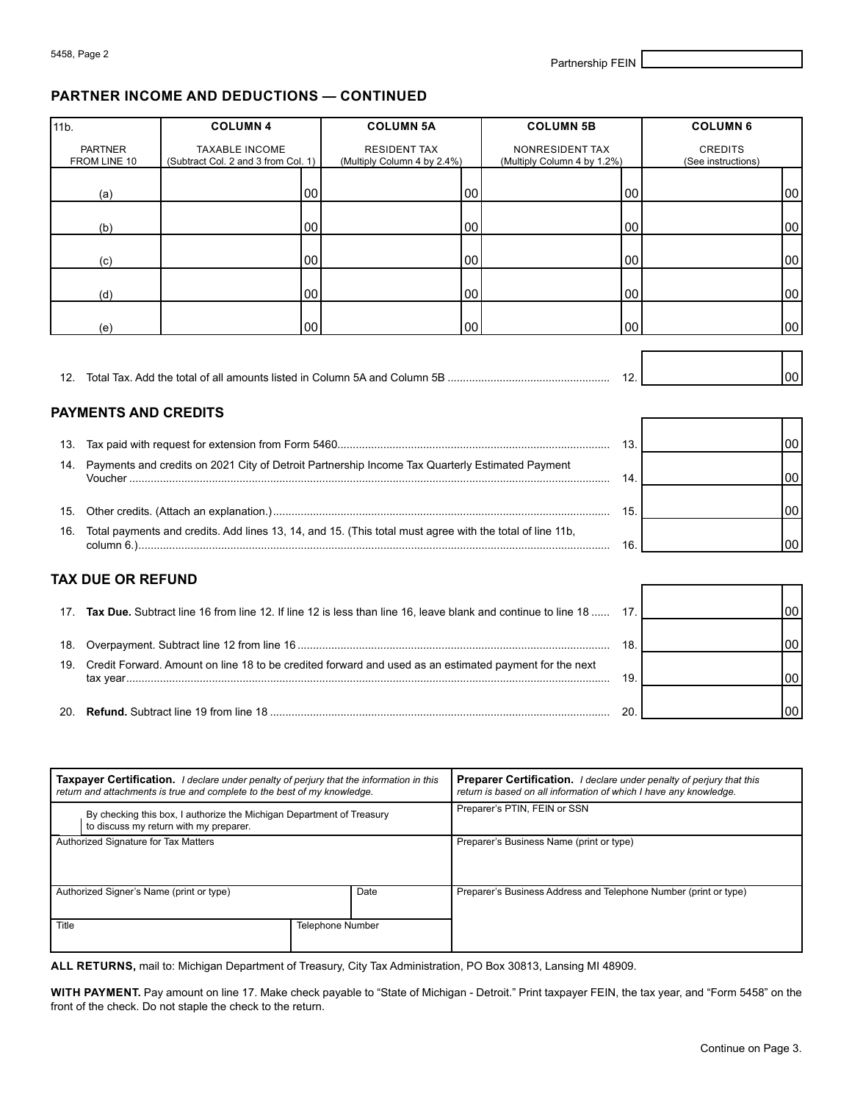#### **PARTNER INCOME AND DEDUCTIONS — CONTINUED**

| 11b. |                                                                                                            | <b>COLUMN 4</b>                                                                                                                                                     |        | <b>COLUMN 5A</b>                                   |    | <b>COLUMN 5B</b>                                                                                                                                 |     | <b>COLUMN 6</b>                      |        |
|------|------------------------------------------------------------------------------------------------------------|---------------------------------------------------------------------------------------------------------------------------------------------------------------------|--------|----------------------------------------------------|----|--------------------------------------------------------------------------------------------------------------------------------------------------|-----|--------------------------------------|--------|
|      | <b>PARTNER</b><br>FROM LINE 10                                                                             | <b>TAXABLE INCOME</b><br>(Subtract Col. 2 and 3 from Col. 1)                                                                                                        |        | <b>RESIDENT TAX</b><br>(Multiply Column 4 by 2.4%) |    | NONRESIDENT TAX<br>(Multiply Column 4 by 1.2%)                                                                                                   |     | <b>CREDITS</b><br>(See instructions) |        |
|      | (a)                                                                                                        |                                                                                                                                                                     | $00\,$ |                                                    | 00 |                                                                                                                                                  | 00  |                                      | $00\,$ |
|      |                                                                                                            |                                                                                                                                                                     |        |                                                    |    |                                                                                                                                                  |     |                                      |        |
|      | (b)                                                                                                        |                                                                                                                                                                     | $00\,$ |                                                    | 00 |                                                                                                                                                  | 00  |                                      | 00     |
|      | (c)                                                                                                        |                                                                                                                                                                     | 00     |                                                    | 00 |                                                                                                                                                  | 00  |                                      | 00     |
|      | (d)                                                                                                        |                                                                                                                                                                     | $00\,$ |                                                    | 00 |                                                                                                                                                  | 00  |                                      | 00     |
|      | (e)                                                                                                        |                                                                                                                                                                     | 00     |                                                    | 00 |                                                                                                                                                  | 00  |                                      | 00     |
|      |                                                                                                            |                                                                                                                                                                     |        |                                                    |    |                                                                                                                                                  |     |                                      |        |
|      |                                                                                                            |                                                                                                                                                                     |        |                                                    |    |                                                                                                                                                  | 12. |                                      | 00     |
|      | <b>PAYMENTS AND CREDITS</b>                                                                                |                                                                                                                                                                     |        |                                                    |    |                                                                                                                                                  |     |                                      |        |
|      |                                                                                                            |                                                                                                                                                                     |        |                                                    |    |                                                                                                                                                  | 13. |                                      | 00     |
| 14.  |                                                                                                            | Payments and credits on 2021 City of Detroit Partnership Income Tax Quarterly Estimated Payment                                                                     |        |                                                    |    |                                                                                                                                                  |     |                                      |        |
|      |                                                                                                            |                                                                                                                                                                     |        |                                                    |    |                                                                                                                                                  | 14. |                                      | 00     |
|      |                                                                                                            |                                                                                                                                                                     |        |                                                    |    |                                                                                                                                                  | 15. |                                      | 00     |
| 16.  |                                                                                                            | Total payments and credits. Add lines 13, 14, and 15. (This total must agree with the total of line 11b,                                                            |        |                                                    |    |                                                                                                                                                  | 16. |                                      | 00     |
|      | <b>TAX DUE OR REFUND</b>                                                                                   |                                                                                                                                                                     |        |                                                    |    |                                                                                                                                                  |     |                                      |        |
|      |                                                                                                            | 17. Tax Due. Subtract line 16 from line 12. If line 12 is less than line 16, leave blank and continue to line 18                                                    |        |                                                    |    |                                                                                                                                                  | 17. |                                      | 00     |
| 18.  |                                                                                                            |                                                                                                                                                                     |        |                                                    |    |                                                                                                                                                  | 18. |                                      | 00     |
|      | 19. Credit Forward. Amount on line 18 to be credited forward and used as an estimated payment for the next |                                                                                                                                                                     |        |                                                    |    |                                                                                                                                                  |     |                                      |        |
|      |                                                                                                            |                                                                                                                                                                     |        |                                                    |    |                                                                                                                                                  | 19. |                                      | 00     |
|      |                                                                                                            |                                                                                                                                                                     |        |                                                    |    |                                                                                                                                                  | 20. |                                      | 00     |
|      |                                                                                                            |                                                                                                                                                                     |        |                                                    |    |                                                                                                                                                  |     |                                      |        |
|      |                                                                                                            | Taxpayer Certification. I declare under penalty of perjury that the information in this<br>return and attachments is true and complete to the best of my knowledge. |        |                                                    |    | <b>Preparer Certification.</b> I declare under penalty of perjury that this<br>return is based on all information of which I have any knowledge. |     |                                      |        |
|      |                                                                                                            |                                                                                                                                                                     |        |                                                    |    | Preparer's PTIN, FEIN or SSN                                                                                                                     |     |                                      |        |

| By checking this box, I authorize the Michigan Department of Treasury<br>to discuss my return with my preparer. |                         | Preparer's PTIN, FEIN or SSN                                     |
|-----------------------------------------------------------------------------------------------------------------|-------------------------|------------------------------------------------------------------|
| Authorized Signature for Tax Matters                                                                            |                         | Preparer's Business Name (print or type)                         |
| Authorized Signer's Name (print or type)                                                                        | Date                    | Preparer's Business Address and Telephone Number (print or type) |
| Title                                                                                                           | <b>Telephone Number</b> |                                                                  |

**ALL RETURNS,** mail to: Michigan Department of Treasury, City Tax Administration, PO Box 30813, Lansing MI 48909.

**WITH PAYMENT.** Pay amount on line 17. Make check payable to "State of Michigan - Detroit." Print taxpayer FEIN, the tax year, and "Form 5458" on the front of the check. Do not staple the check to the return.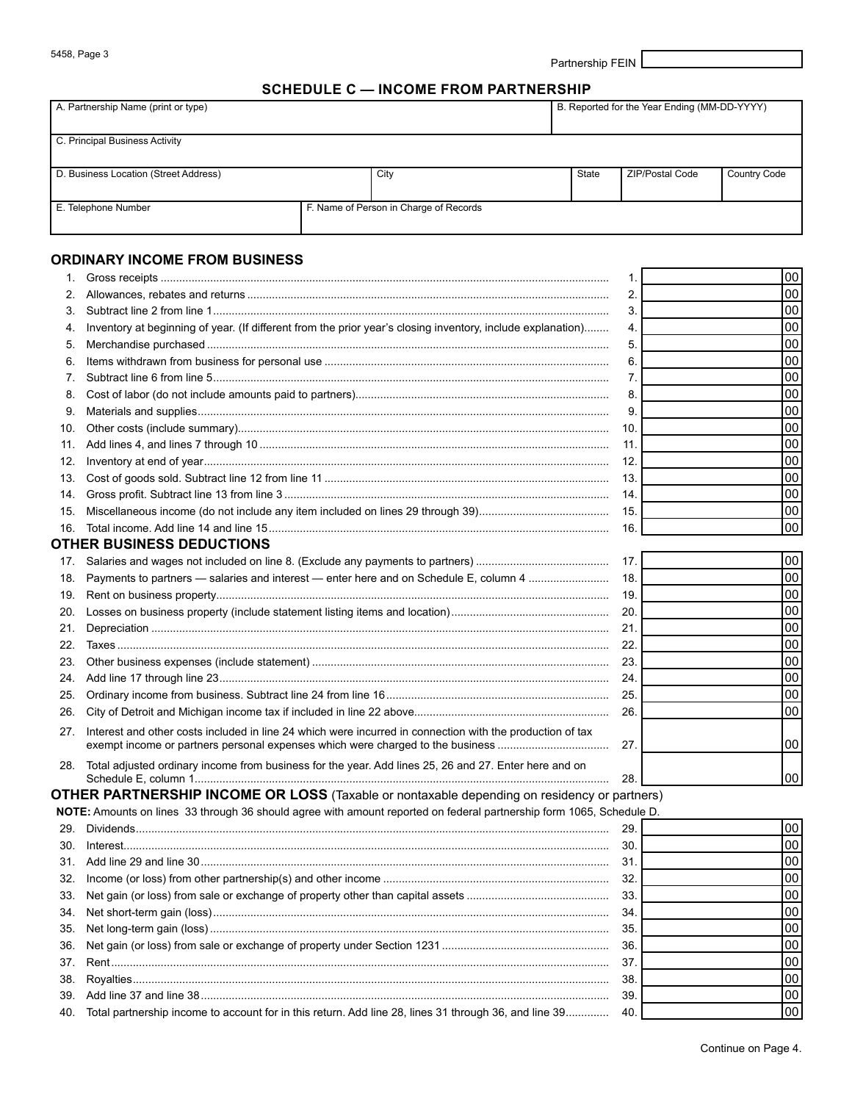5458, Page 3 Partnership FEIN

#### **SCHEDULE C — INCOME FROM PARTNERSHIP**

| A. Partnership Name (print or type)   |                                        |  |       | B. Reported for the Year Ending (MM-DD-YYYY) |                     |  |  |  |  |
|---------------------------------------|----------------------------------------|--|-------|----------------------------------------------|---------------------|--|--|--|--|
| C. Principal Business Activity        |                                        |  |       |                                              |                     |  |  |  |  |
| D. Business Location (Street Address) | City                                   |  | State | ZIP/Postal Code                              | <b>Country Code</b> |  |  |  |  |
| E. Telephone Number                   | F. Name of Person in Charge of Records |  |       |                                              |                     |  |  |  |  |

### **ORDINARY INCOME FROM BUSINESS**

| 1.  |                                                                                                                                                                                             | 1.   | 00   |
|-----|---------------------------------------------------------------------------------------------------------------------------------------------------------------------------------------------|------|------|
| 2.  |                                                                                                                                                                                             | 2.   | 00   |
| 3.  |                                                                                                                                                                                             | 3.   | 00   |
| 4.  | Inventory at beginning of year. (If different from the prior year's closing inventory, include explanation)                                                                                 | 4.   | 00   |
| 5.  |                                                                                                                                                                                             | 5.   | 00   |
| 6.  |                                                                                                                                                                                             | 6    | 00   |
| 7   |                                                                                                                                                                                             | 7.   | 00   |
| 8.  |                                                                                                                                                                                             | 8.   | 00   |
| 9.  |                                                                                                                                                                                             | 9.   | 00   |
| 10. |                                                                                                                                                                                             | 10.  | 00   |
| 11. |                                                                                                                                                                                             | 11.  | 00   |
| 12. |                                                                                                                                                                                             | 12.  | 00   |
| 13. |                                                                                                                                                                                             | 13.  | 00   |
| 14. |                                                                                                                                                                                             | 14.  | 00   |
| 15. |                                                                                                                                                                                             | 15.  | 00   |
| 16. |                                                                                                                                                                                             | 16.  | 00   |
|     | <b>OTHER BUSINESS DEDUCTIONS</b>                                                                                                                                                            |      |      |
| 17. |                                                                                                                                                                                             | 17.  | 00   |
| 18. | Payments to partners - salaries and interest - enter here and on Schedule E, column 4                                                                                                       | 18.  | 00   |
| 19. |                                                                                                                                                                                             | 19.  | 00   |
| 20. |                                                                                                                                                                                             | 20.  | 00   |
| 21. |                                                                                                                                                                                             | 21.  | 00   |
| 22. |                                                                                                                                                                                             | 22.  | 00   |
| 23. |                                                                                                                                                                                             | 23.  | 00   |
| 24. |                                                                                                                                                                                             | 24.  | 00   |
| 25. |                                                                                                                                                                                             | 25.  | 00   |
| 26. |                                                                                                                                                                                             | 26.  | 00   |
| 27. | Interest and other costs included in line 24 which were incurred in connection with the production of tax<br>exempt income or partners personal expenses which were charged to the business | 27.  | 00   |
|     | Total adjusted ordinary income from business for the year. Add lines 25, 26 and 27. Enter here and on                                                                                       |      |      |
| 28. |                                                                                                                                                                                             | 28.  | 00   |
|     | <b>OTHER PARTNERSHIP INCOME OR LOSS</b> (Taxable or nontaxable depending on residency or partners)                                                                                          |      |      |
|     | NOTE: Amounts on lines 33 through 36 should agree with amount reported on federal partnership form 1065, Schedule D.                                                                        |      |      |
|     | 20 Dividonde                                                                                                                                                                                | າດ I | امما |

|                                                                                                           | 29.  | 1001   |
|-----------------------------------------------------------------------------------------------------------|------|--------|
|                                                                                                           | 30   | l 00 l |
|                                                                                                           | 31   | 1001   |
|                                                                                                           | 32.  | l 00 l |
|                                                                                                           | 33   | .00 I  |
|                                                                                                           | 34   | .00 I  |
|                                                                                                           | 35   | 00     |
|                                                                                                           | -36. | 1001   |
|                                                                                                           | 37   | .00 I  |
|                                                                                                           | 38   | 00     |
|                                                                                                           | 39   | .00 I  |
| 40. Total partnership income to account for in this return. Add line 28, lines 31 through 36, and line 39 | 40.  | 00     |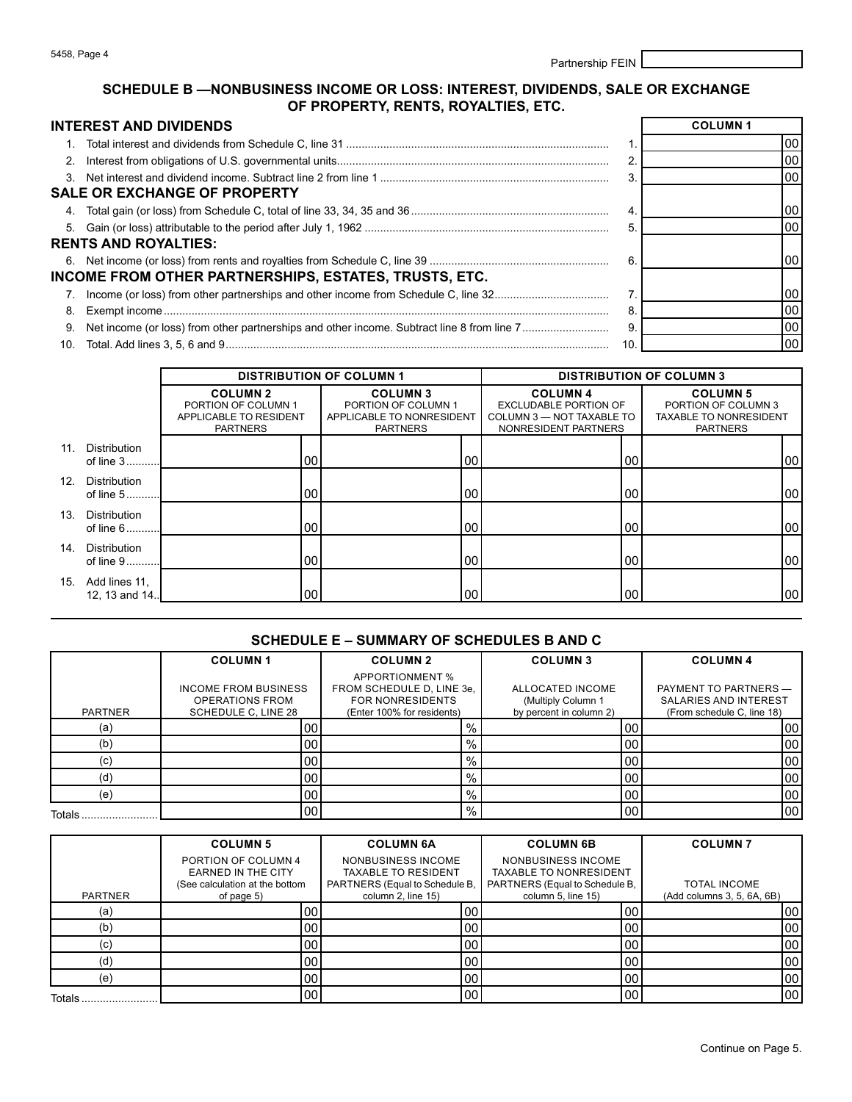| 5458, Page 4 |                  |
|--------------|------------------|
|              | Partnership FEIN |

#### **SCHEDULE B —NONBUSINESS INCOME OR LOSS: INTEREST, DIVIDENDS, SALE OR EXCHANGE OF PROPERTY, RENTS, ROYALTIES, ETC.**

|    | <b>INTEREST AND DIVIDENDS</b>                         |     | <b>COLUMN1</b> |
|----|-------------------------------------------------------|-----|----------------|
|    |                                                       |     | 00             |
|    |                                                       | 2   | 00             |
|    |                                                       |     | 00             |
|    | <b>SALE OR EXCHANGE OF PROPERTY</b>                   |     |                |
|    |                                                       |     | 00             |
|    |                                                       | 5   | 00             |
|    | <b>RENTS AND ROYALTIES:</b>                           |     |                |
|    |                                                       | 6   | 00             |
|    | INCOME FROM OTHER PARTNERSHIPS, ESTATES, TRUSTS, ETC. |     |                |
|    |                                                       |     | 00             |
| 8. |                                                       | 8   | 00             |
| 9. |                                                       | 9   | 00             |
|    |                                                       | 10. | 00             |

|     |                                                                                     |      | <b>DISTRIBUTION OF COLUMN 1</b>                                                       | <b>DISTRIBUTION OF COLUMN 3</b>                                                                      |                                                                                            |  |  |
|-----|-------------------------------------------------------------------------------------|------|---------------------------------------------------------------------------------------|------------------------------------------------------------------------------------------------------|--------------------------------------------------------------------------------------------|--|--|
|     | <b>COLUMN 2</b><br>PORTION OF COLUMN 1<br>APPLICABLE TO RESIDENT<br><b>PARTNERS</b> |      | <b>COLUMN3</b><br>PORTION OF COLUMN 1<br>APPLICABLE TO NONRESIDENT<br><b>PARTNERS</b> | <b>COLUMN 4</b><br><b>EXCLUDABLE PORTION OF</b><br>COLUMN 3 - NOT TAXABLE TO<br>NONRESIDENT PARTNERS | <b>COLUMN 5</b><br>PORTION OF COLUMN 3<br><b>TAXABLE TO NONRESIDENT</b><br><b>PARTNERS</b> |  |  |
| 11. | Distribution<br>of line 3                                                           | 00   | 00                                                                                    | 00                                                                                                   | 00                                                                                         |  |  |
| 12. | Distribution<br>of line 5                                                           | 00   | 00                                                                                    | 00                                                                                                   | 00                                                                                         |  |  |
| 13. | Distribution<br>of line 6                                                           | 00   | 00                                                                                    | 00                                                                                                   | 00                                                                                         |  |  |
| 14. | Distribution<br>of line 9                                                           | 00   | 00                                                                                    | 00                                                                                                   | 00                                                                                         |  |  |
| 15. | Add lines 11,<br>12, 13 and 14                                                      | 1001 | 00                                                                                    | 00                                                                                                   | 00                                                                                         |  |  |

#### **SCHEDULE E – SUMMARY OF SCHEDULES B AND C**

|                   | <b>COLUMN1</b>                                                               | <b>COLUMN 2</b>                                                                                       | <b>COLUMN3</b>                                                    | <b>COLUMN 4</b>                                                                     |
|-------------------|------------------------------------------------------------------------------|-------------------------------------------------------------------------------------------------------|-------------------------------------------------------------------|-------------------------------------------------------------------------------------|
| <b>PARTNER</b>    | <b>INCOME FROM BUSINESS</b><br><b>OPERATIONS FROM</b><br>SCHEDULE C, LINE 28 | APPORTIONMENT %<br>FROM SCHEDULE D, LINE 3e,<br><b>FOR NONRESIDENTS</b><br>(Enter 100% for residents) | ALLOCATED INCOME<br>(Multiply Column 1<br>by percent in column 2) | PAYMENT TO PARTNERS -<br><b>SALARIES AND INTEREST</b><br>(From schedule C, line 18) |
| (a)               | 00                                                                           | $\frac{9}{6}$                                                                                         | 00                                                                | 00                                                                                  |
| (b)               | 00                                                                           | $\%$                                                                                                  | 00                                                                | 00                                                                                  |
| (c                | 00                                                                           | $\%$ .                                                                                                | 00                                                                | 00                                                                                  |
| (ď                | 00                                                                           | $\%$                                                                                                  | 00                                                                | 00                                                                                  |
| (e)               | 00                                                                           | $\%$                                                                                                  | 00                                                                | 00                                                                                  |
| <b>Totals</b><br> | 00                                                                           | $\frac{9}{6}$                                                                                         | 00                                                                | 00                                                                                  |

|                | <b>COLUMN 5</b>                | <b>COLUMN 6A</b>               | <b>COLUMN 6B</b>               | <b>COLUMN7</b>             |
|----------------|--------------------------------|--------------------------------|--------------------------------|----------------------------|
|                | PORTION OF COLUMN 4            | NONBUSINESS INCOME             | NONBUSINESS INCOME             |                            |
|                | <b>EARNED IN THE CITY</b>      | <b>TAXABLE TO RESIDENT</b>     | <b>TAXABLE TO NONRESIDENT</b>  |                            |
|                | (See calculation at the bottom | PARTNERS (Equal to Schedule B, | PARTNERS (Equal to Schedule B, | <b>TOTAL INCOME</b>        |
| <b>PARTNER</b> | of page 5)                     | column 2, line 15)             | column 5, line 15)             | (Add columns 3, 5, 6A, 6B) |
| (a)            | 00                             | 00                             | 00 <sub>1</sub>                | 00                         |
| (b)            | 00                             | 00                             | 00 <sub>0</sub>                | 00                         |
| (c)            | 00                             | 00 <sub>1</sub>                | 00 <sub>0</sub>                | 00                         |
| (d)            | 00                             | 00                             | 00 <sub>1</sub>                | 00                         |
| (e)            | 00                             | 00                             | 00 <sub>1</sub>                | 00                         |
| Totals         | 00                             | 00                             | 00 <sub>1</sub>                | 00                         |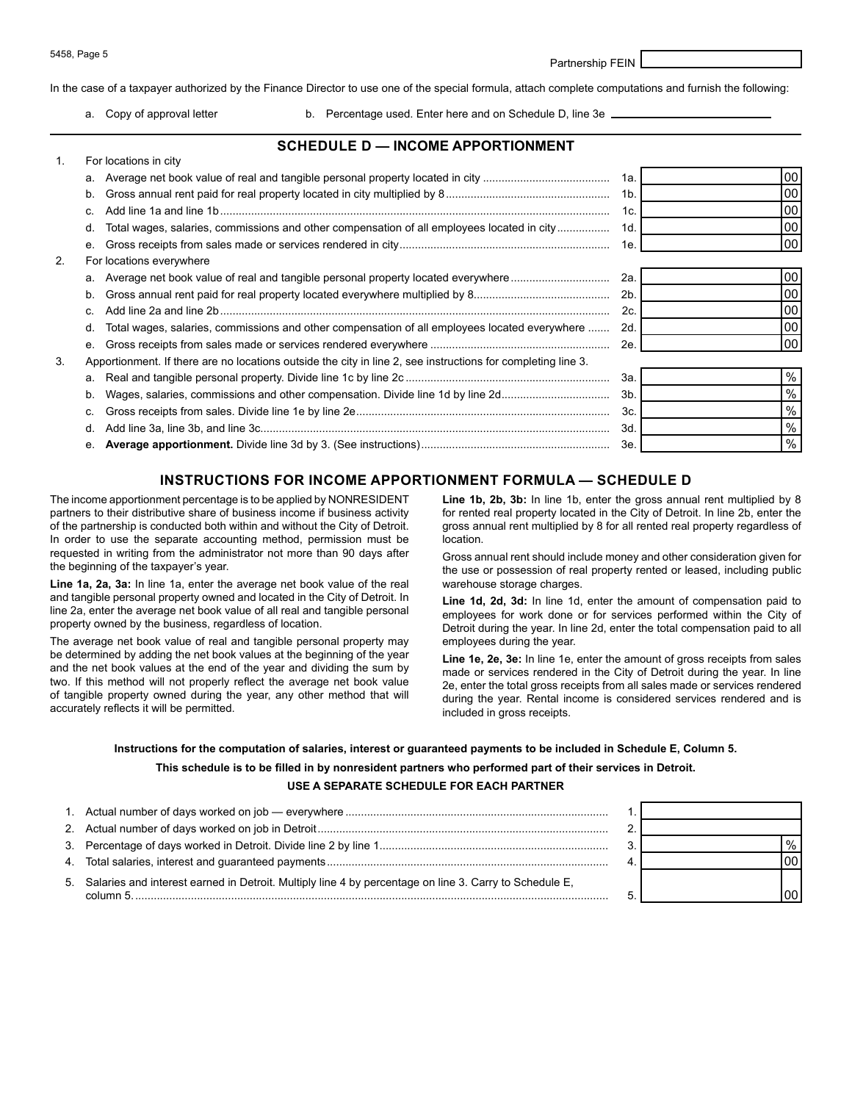5458, Page 5 Partnership FEIN

In the case of a taxpayer authorized by the Finance Director to use one of the special formula, attach complete computations and furnish the following:

1. For locations in city

a. Copy of approval letter b. Percentage used. Enter here and on Schedule D, line 3e \_

#### **SCHEDULE D — INCOME APPORTIONMENT**

|    | FUI IUCQUUIS III CILY                                                                                        |                |      |  |  |
|----|--------------------------------------------------------------------------------------------------------------|----------------|------|--|--|
|    |                                                                                                              | 1a.            | 00   |  |  |
|    | b.                                                                                                           | 1 <sub>b</sub> | 00   |  |  |
|    |                                                                                                              | 1c.            | 00   |  |  |
|    | Total wages, salaries, commissions and other compensation of all employees located in city<br>d.             | 1d.            | 00   |  |  |
|    | е.                                                                                                           | 1e.            | 00   |  |  |
| 2. | For locations everywhere                                                                                     |                |      |  |  |
|    | a. Average net book value of real and tangible personal property located everywhere                          | 2a.            | 00   |  |  |
|    | b.                                                                                                           | 2b.            | 00   |  |  |
|    | C.                                                                                                           | 2c             | 00   |  |  |
|    | Total wages, salaries, commissions and other compensation of all employees located everywhere<br>d.          | 2d.            | 00   |  |  |
|    | е.                                                                                                           |                | 00   |  |  |
| 3. | Apportionment. If there are no locations outside the city in line 2, see instructions for completing line 3. |                |      |  |  |
|    |                                                                                                              | 3а.            | $\%$ |  |  |
|    | Wages, salaries, commissions and other compensation. Divide line 1d by line 2d<br>b.                         | 3b.            | %    |  |  |
|    | C.                                                                                                           | 3c.            | %    |  |  |
|    | d.                                                                                                           | 3d.            | %    |  |  |
|    |                                                                                                              | Зе.            | %    |  |  |

#### **INSTRUCTIONS FOR INCOME APPORTIONMENT FORMULA — SCHEDULE D**

In order to use the separate accounting method, permission must be location. requested in writing from the administrator not more than 90 days after<br>the beginning of the taxpayer's year.<br>the use or possession of real property rented or leased, including public

**Line 1a, 2a, 3a:** In line 1a, enter the average net book value of the real warehouse storage charges.<br>and tangible personal property owned and located in the City of Detroit. In **a lot and and 2d**, In line 1d

The average net book value of real and tangible personal property may employees during the year. be determined by adding the net book values at the beginning of the year<br>and the net book values at the end of the year and dividing the sum by<br>two. If this method will not properly reflect the average net book value<br>of ta

The income apportionment percentage is to be applied by NONRESIDENT<br>
partners to their distributive share of business income if business activity for rented real property located in the City of Detroit. In line 2b, enter t partners to their distributive share of business income if business activity for rented real property located in the City of Detroit. In line 2b, enter the of the partnership is conducted both within and without the City o gross annual rent multiplied by 8 for all rented real property regardless of

and tangible personal property owned and located in the City of Detroit. In<br>line 2a, enter the average net book value of all real and tangible personal<br>property owned by the business, regardless of location.<br>Detroit during

**Instructions for the computation of salaries, interest or guaranteed payments to be included in Schedule E, Column 5.** 

**This schedule is to be filled in by nonresident partners who performed part of their services in Detroit.**

#### **USE A SEPARATE SCHEDULE FOR EACH PARTNER**

|                                                                                                           | $\%$            |
|-----------------------------------------------------------------------------------------------------------|-----------------|
|                                                                                                           | 00 <sup>1</sup> |
| 5. Salaries and interest earned in Detroit. Multiply line 4 by percentage on line 3. Carry to Schedule E, | 00 <sub>1</sub> |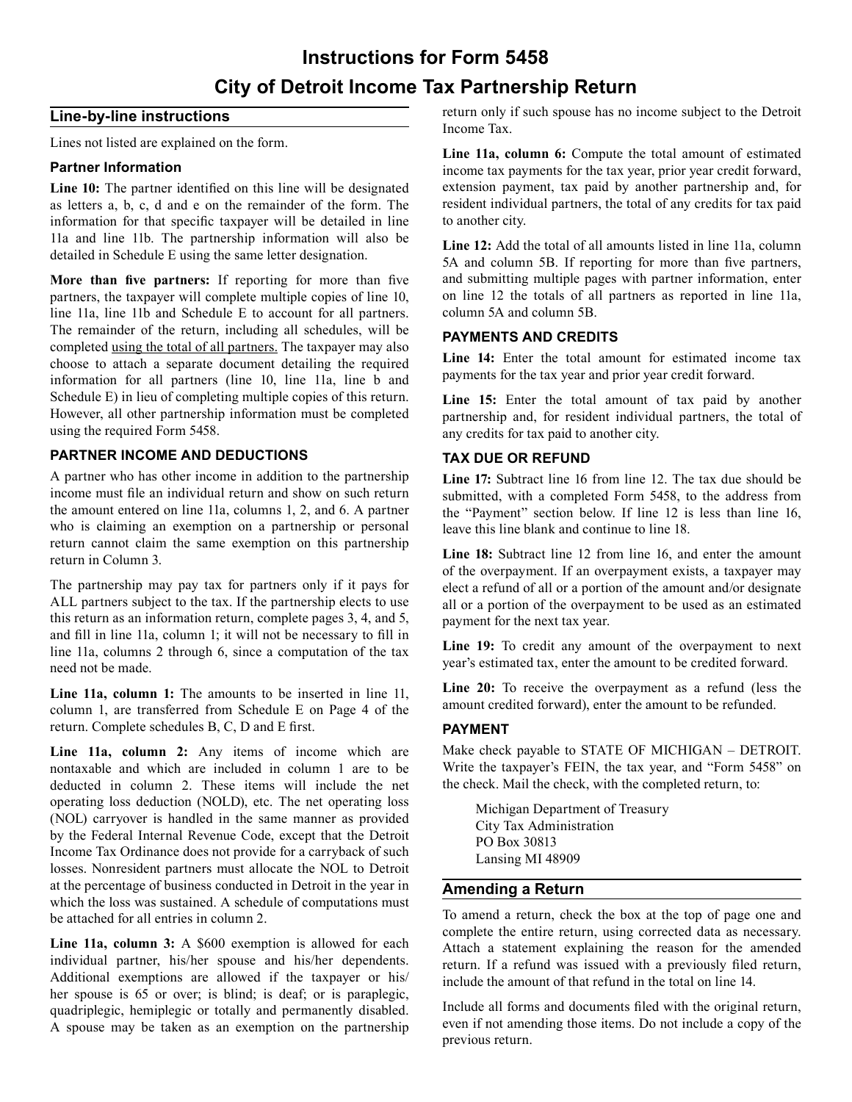# **Instructions for Form 5458 City of Detroit Income Tax Partnership Return**

#### **Line-by-line instructions**

Lines not listed are explained on the form.

#### **Partner Information**

Line 10: The partner identified on this line will be designated as letters a, b, c, d and e on the remainder of the form. The information for that specific taxpayer will be detailed in line 11a and line 11b. The partnership information will also be detailed in Schedule E using the same letter designation.

**More than five partners:** If reporting for more than five partners, the taxpayer will complete multiple copies of line 10, line 11a, line 11b and Schedule E to account for all partners. The remainder of the return, including all schedules, will be completed using the total of all partners. The taxpayer may also choose to attach a separate document detailing the required information for all partners (line 10, line 11a, line b and Schedule E) in lieu of completing multiple copies of this return. However, all other partnership information must be completed using the required Form 5458.

#### **PARTNER INCOME AND DEDUCTIONS**

A partner who has other income in addition to the partnership income must file an individual return and show on such return the amount entered on line 11a, columns 1, 2, and 6. A partner who is claiming an exemption on a partnership or personal return cannot claim the same exemption on this partnership return in Column 3.

The partnership may pay tax for partners only if it pays for ALL partners subject to the tax. If the partnership elects to use this return as an information return, complete pages 3, 4, and 5, and fill in line 11a, column 1; it will not be necessary to fill in line 11a, columns 2 through 6, since a computation of the tax need not be made.

**Line 11a, column 1:** The amounts to be inserted in line 11, column 1, are transferred from Schedule E on Page 4 of the return. Complete schedules B, C, D and E first.

Line 11a, column 2: Any items of income which are nontaxable and which are included in column 1 are to be deducted in column 2. These items will include the net operating loss deduction (NOLD), etc. The net operating loss (NOL) carryover is handled in the same manner as provided by the Federal Internal Revenue Code, except that the Detroit Income Tax Ordinance does not provide for a carryback of such losses. Nonresident partners must allocate the NOL to Detroit at the percentage of business conducted in Detroit in the year in which the loss was sustained. A schedule of computations must be attached for all entries in column 2.

Line 11a, column 3: A \$600 exemption is allowed for each individual partner, his/her spouse and his/her dependents. Additional exemptions are allowed if the taxpayer or his/ her spouse is 65 or over; is blind; is deaf; or is paraplegic, quadriplegic, hemiplegic or totally and permanently disabled. A spouse may be taken as an exemption on the partnership return only if such spouse has no income subject to the Detroit Income Tax.

**Line 11a, column 6:** Compute the total amount of estimated income tax payments for the tax year, prior year credit forward, extension payment, tax paid by another partnership and, for resident individual partners, the total of any credits for tax paid to another city.

**Line 12:** Add the total of all amounts listed in line 11a, column 5A and column 5B. If reporting for more than five partners, and submitting multiple pages with partner information, enter on line 12 the totals of all partners as reported in line 11a, column 5A and column 5B.

#### **PAYMENTS AND CREDITS**

**Line 14:** Enter the total amount for estimated income tax payments for the tax year and prior year credit forward.

Line 15: Enter the total amount of tax paid by another partnership and, for resident individual partners, the total of any credits for tax paid to another city.

#### **TAX DUE OR REFUND**

**Line 17:** Subtract line 16 from line 12. The tax due should be submitted, with a completed Form 5458, to the address from the "Payment" section below. If line 12 is less than line 16, leave this line blank and continue to line 18.

**Line 18:** Subtract line 12 from line 16, and enter the amount of the overpayment. If an overpayment exists, a taxpayer may elect a refund of all or a portion of the amount and/or designate all or a portion of the overpayment to be used as an estimated payment for the next tax year.

**Line 19:** To credit any amount of the overpayment to next year's estimated tax, enter the amount to be credited forward.

**Line 20:** To receive the overpayment as a refund (less the amount credited forward), enter the amount to be refunded.

#### **PAYMENT**

Make check payable to STATE OF MICHIGAN – DETROIT. Write the taxpayer's FEIN, the tax year, and "Form 5458" on the check. Mail the check, with the completed return, to:

Michigan Department of Treasury City Tax Administration PO Box 30813 Lansing MI 48909

#### **Amending a Return**

To amend a return, check the box at the top of page one and complete the entire return, using corrected data as necessary. Attach a statement explaining the reason for the amended return. If a refund was issued with a previously filed return, include the amount of that refund in the total on line 14.

Include all forms and documents filed with the original return, even if not amending those items. Do not include a copy of the previous return.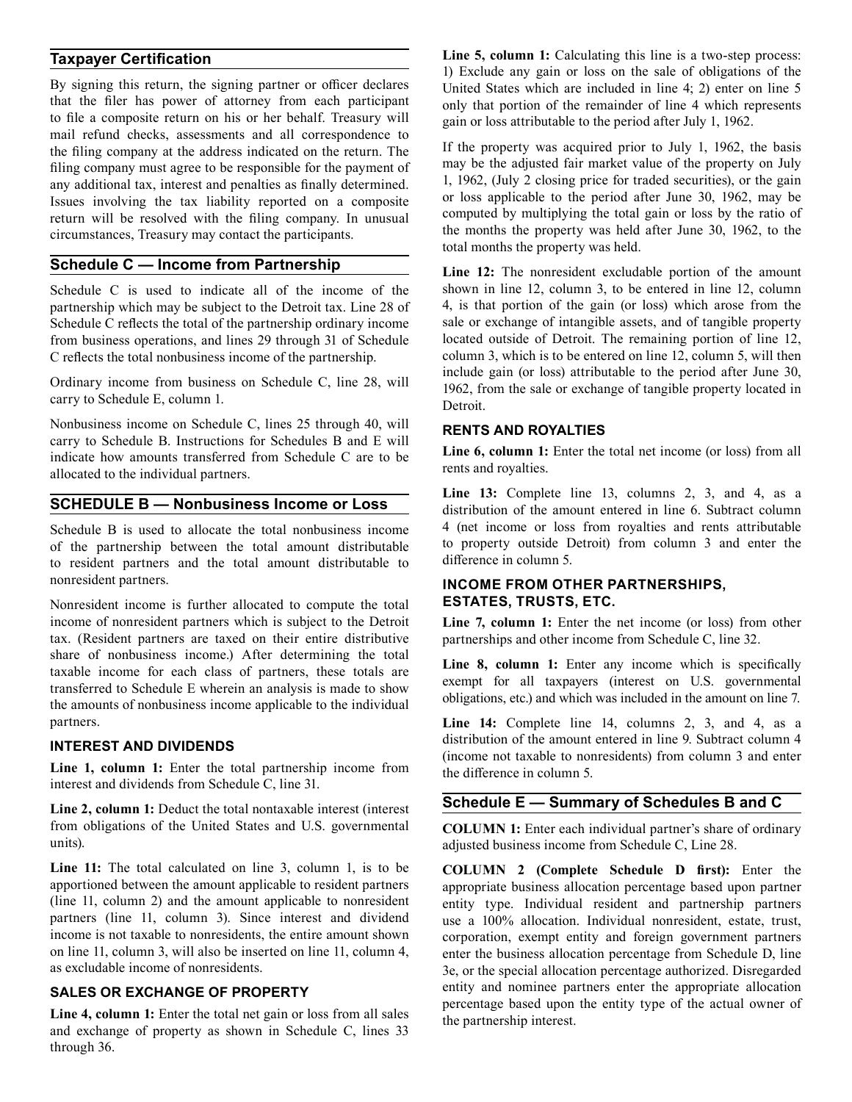#### **Taxpayer Certification**

By signing this return, the signing partner or officer declares that the filer has power of attorney from each participant to file a composite return on his or her behalf. Treasury will mail refund checks, assessments and all correspondence to the filing company at the address indicated on the return. The filing company must agree to be responsible for the payment of any additional tax, interest and penalties as finally determined. Issues involving the tax liability reported on a composite return will be resolved with the filing company. In unusual circumstances, Treasury may contact the participants.

#### **Schedule C — Income from Partnership**

Schedule C is used to indicate all of the income of the partnership which may be subject to the Detroit tax. Line 28 of Schedule C reflects the total of the partnership ordinary income from business operations, and lines 29 through 31 of Schedule C reflects the total nonbusiness income of the partnership.

Ordinary income from business on Schedule C, line 28, will carry to Schedule E, column 1.

Nonbusiness income on Schedule C, lines 25 through 40, will carry to Schedule B. Instructions for Schedules B and E will indicate how amounts transferred from Schedule C are to be allocated to the individual partners.

#### **SCHEDULE B — Nonbusiness Income or Loss**

Schedule B is used to allocate the total nonbusiness income of the partnership between the total amount distributable to resident partners and the total amount distributable to nonresident partners.

Nonresident income is further allocated to compute the total income of nonresident partners which is subject to the Detroit tax. (Resident partners are taxed on their entire distributive share of nonbusiness income.) After determining the total taxable income for each class of partners, these totals are transferred to Schedule E wherein an analysis is made to show the amounts of nonbusiness income applicable to the individual partners.

#### **INTEREST AND DIVIDENDS**

**Line 1, column 1:** Enter the total partnership income from interest and dividends from Schedule C, line 31.

**Line 2, column 1:** Deduct the total nontaxable interest (interest from obligations of the United States and U.S. governmental units).

Line 11: The total calculated on line 3, column 1, is to be apportioned between the amount applicable to resident partners (line 11, column 2) and the amount applicable to nonresident partners (line 11, column 3). Since interest and dividend income is not taxable to nonresidents, the entire amount shown on line 11, column 3, will also be inserted on line 11, column 4, as excludable income of nonresidents.

#### **SALES OR EXCHANGE OF PROPERTY**

Line 4, column 1: Enter the total net gain or loss from all sales and exchange of property as shown in Schedule C, lines 33 through 36.

Line 5, column 1: Calculating this line is a two-step process: 1) Exclude any gain or loss on the sale of obligations of the United States which are included in line 4; 2) enter on line 5 only that portion of the remainder of line 4 which represents gain or loss attributable to the period after July 1, 1962.

If the property was acquired prior to July 1, 1962, the basis may be the adjusted fair market value of the property on July 1, 1962, (July 2 closing price for traded securities), or the gain or loss applicable to the period after June 30, 1962, may be computed by multiplying the total gain or loss by the ratio of the months the property was held after June 30, 1962, to the total months the property was held.

Line 12: The nonresident excludable portion of the amount shown in line 12, column 3, to be entered in line 12, column 4, is that portion of the gain (or loss) which arose from the sale or exchange of intangible assets, and of tangible property located outside of Detroit. The remaining portion of line 12, column 3, which is to be entered on line 12, column 5, will then include gain (or loss) attributable to the period after June 30, 1962, from the sale or exchange of tangible property located in Detroit.

#### **RENTS AND ROYALTIES**

Line 6, column 1: Enter the total net income (or loss) from all rents and royalties.

**Line 13:** Complete line 13, columns 2, 3, and 4, as a distribution of the amount entered in line 6. Subtract column 4 (net income or loss from royalties and rents attributable to property outside Detroit) from column 3 and enter the difference in column 5.

#### **ESTATES, TRUSTS, ETC. INCOME FROM OTHER PARTNERSHIPS,**

Line 7, column 1: Enter the net income (or loss) from other partnerships and other income from Schedule C, line 32.

Line 8, column 1: Enter any income which is specifically exempt for all taxpayers (interest on U.S. governmental obligations, etc.) and which was included in the amount on line 7.

Line 14: Complete line 14, columns 2, 3, and 4, as a distribution of the amount entered in line 9. Subtract column 4 (income not taxable to nonresidents) from column 3 and enter the difference in column 5.

#### **Schedule E — Summary of Schedules B and C**

**COLUMN 1:** Enter each individual partner's share of ordinary adjusted business income from Schedule C, Line 28.

 **COLUMN 2 (Complete Schedule D first):** Enter the appropriate business allocation percentage based upon partner entity type. Individual resident and partnership partners use a 100% allocation. Individual nonresident, estate, trust, corporation, exempt entity and foreign government partners enter the business allocation percentage from Schedule D, line 3e, or the special allocation percentage authorized. Disregarded entity and nominee partners enter the appropriate allocation percentage based upon the entity type of the actual owner of the partnership interest.